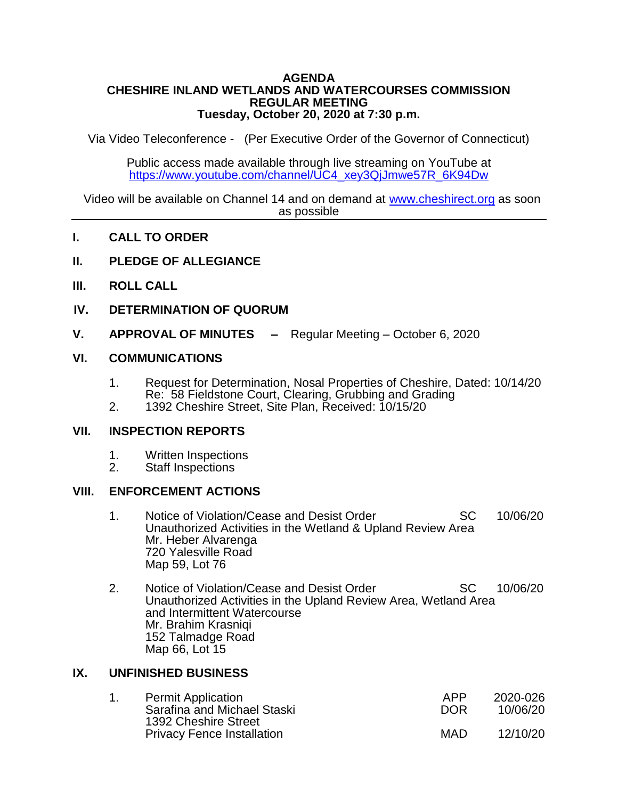#### **AGENDA CHESHIRE INLAND WETLANDS AND WATERCOURSES COMMISSION REGULAR MEETING Tuesday, October 20, 2020 at 7:30 p.m.**

Via Video Teleconference - (Per Executive Order of the Governor of Connecticut)

Public access made available through live streaming on YouTube at [https://www.youtube.com/channel/UC4\\_xey3QjJmwe57R\\_6K94Dw](https://www.youtube.com/channel/UC4_xey3QjJmwe57R_6K94Dw)

Video will be available on Channel 14 and on demand at [www.cheshirect.org](http://www.cheshirect.org/) as soon as possible

- **I. CALL TO ORDER**
- **II. PLEDGE OF ALLEGIANCE**
- **III. ROLL CALL**
- **IV. DETERMINATION OF QUORUM**
- **V. APPROVAL OF MINUTES –** Regular Meeting October 6, 2020

### **VI. COMMUNICATIONS**

- 1. Request for Determination, Nosal Properties of Cheshire, Dated: 10/14/20 Re: 58 Fieldstone Court, Clearing, Grubbing and Grading
- 2. 1392 Cheshire Street, Site Plan, Received: 10/15/20

### **VII. INSPECTION REPORTS**

- 1. Written Inspections<br>2. Staff Inspections
- Staff Inspections

### **VIII. ENFORCEMENT ACTIONS**

- 1. Notice of Violation/Cease and Desist Order SC 10/06/20 Unauthorized Activities in the Wetland & Upland Review Area Mr. Heber Alvarenga 720 Yalesville Road Map 59, Lot 76
- 2. Notice of Violation/Cease and Desist Order SC 10/06/20 Unauthorized Activities in the Upland Review Area, Wetland Area and Intermittent Watercourse Mr. Brahim Krasniqi 152 Talmadge Road Map 66, Lot 15

### **IX. UNFINISHED BUSINESS**

|  | <b>Permit Application</b>                           | APP        | 2020-026 |
|--|-----------------------------------------------------|------------|----------|
|  | Sarafina and Michael Staski<br>1392 Cheshire Street | <b>DOR</b> | 10/06/20 |
|  | <b>Privacy Fence Installation</b>                   | MAD        | 12/10/20 |